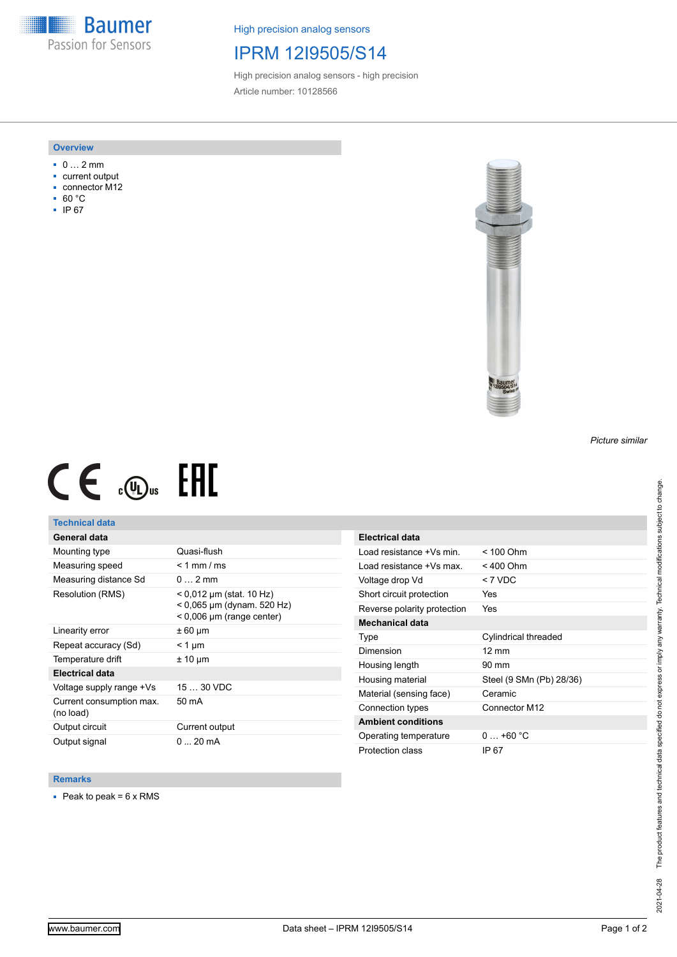**Baumer** Passion for Sensors

High precision analog sensors

## IPRM 12I9505/S14

High precision analog sensors - high precision Article number: 10128566

#### **Overview**

- 0 … 2 mm
- current output
- connector M12
- 60 °C
- IP 67



# $CE \mathcal{L}$  (Dus FRE

#### **Technical data**

#### **General data**

| Mounting type                         | Quasi-flush                                                                             |
|---------------------------------------|-----------------------------------------------------------------------------------------|
| Measuring speed                       | $< 1$ mm / ms                                                                           |
| Measuring distance Sd                 | $0 \quad 2 \text{ mm}$                                                                  |
| Resolution (RMS)                      | < 0,012 µm (stat. 10 Hz)<br>$< 0.065$ µm (dynam. 520 Hz)<br>$< 0,006$ µm (range center) |
| Linearity error                       | ± 60 µm                                                                                 |
| Repeat accuracy (Sd)                  | < 1 µm                                                                                  |
| Temperature drift                     | $± 10 \mu m$                                                                            |
| Electrical data                       |                                                                                         |
| Voltage supply range +Vs              | $1530$ VDC                                                                              |
| Current consumption max.<br>(no load) | 50 mA                                                                                   |
| Output circuit                        | Current output                                                                          |
| Output signal                         | $020$ mA                                                                                |

| <b>Electrical data</b>      |                          |
|-----------------------------|--------------------------|
| Load resistance +Vs min.    | $< 100$ Ohm              |
| Load resistance +Vs max     | < 400 Ohm                |
| Voltage drop Vd             | < 7 VDC                  |
| Short circuit protection    | Yes                      |
| Reverse polarity protection | Yes                      |
| Mechanical data             |                          |
| Type                        | Cylindrical threaded     |
| Dimension                   | $12 \text{ mm}$          |
| Housing length              | 90 mm                    |
| Housing material            | Steel (9 SMn (Pb) 28/36) |
| Material (sensing face)     | Ceramic                  |
| Connection types            | Connector M12            |
| <b>Ambient conditions</b>   |                          |
| Operating temperature       | $0+60 °C$                |
| Protection class            | IP 67                    |

#### **Remarks**

 $\blacksquare$  Peak to peak = 6 x RMS

*Picture similar*